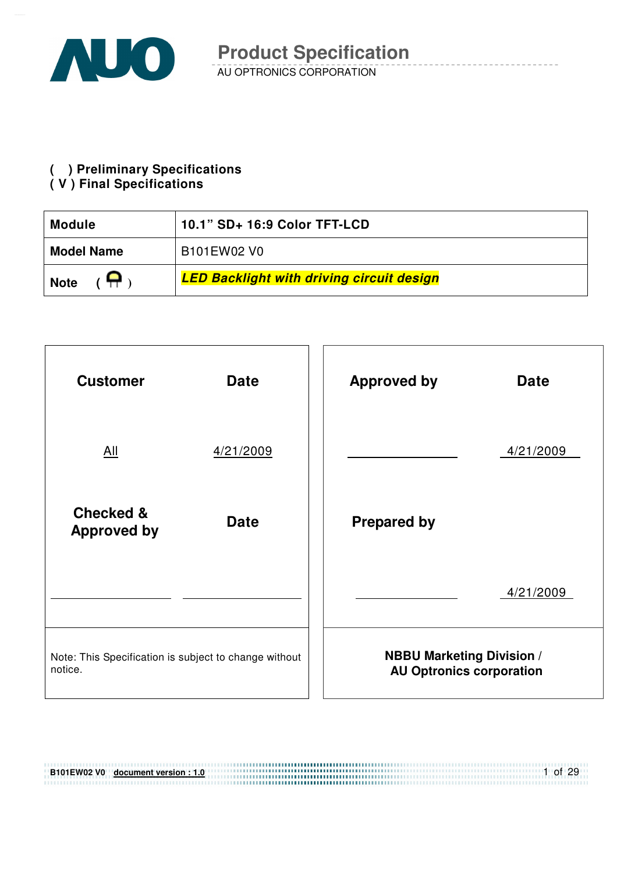

**( ) Preliminary Specifications** 

#### **( V ) Final Specifications**

| 10.1" SD+ 16:9 Color TFT-LCD<br><b>Module</b> |                                                  |  |  |  |
|-----------------------------------------------|--------------------------------------------------|--|--|--|
| <b>Model Name</b>                             | B101EW02 V0                                      |  |  |  |
| <b>Note</b>                                   | <b>LED Backlight with driving circuit design</b> |  |  |  |



| B101EW02 V0 document version: 1.0 | of 29 |
|-----------------------------------|-------|
|                                   |       |
|                                   |       |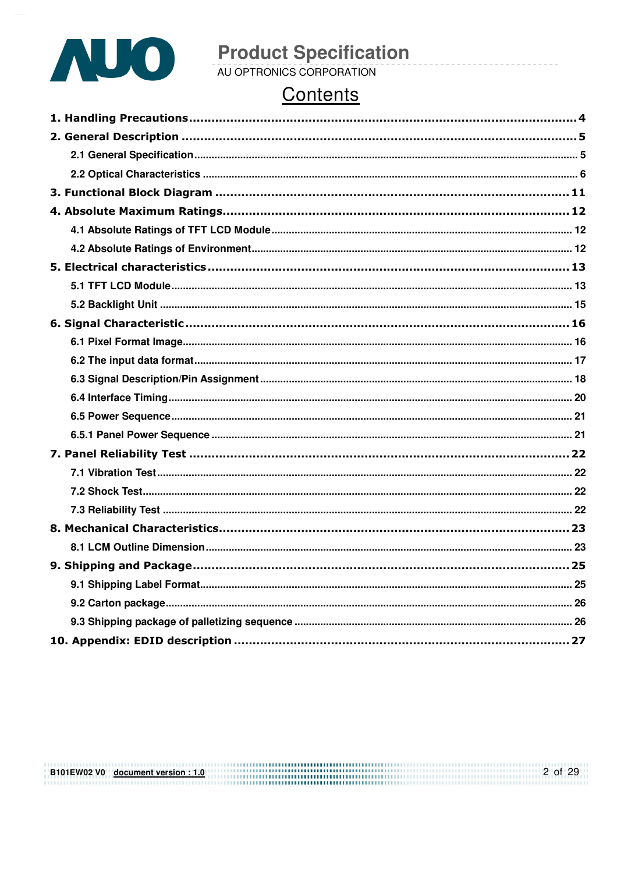

# **Product Specification**<br>AU OPTRONICS CORPORATION

# Contents

B101EW02 V0 document version : 1.0  $2 \text{ of } 29$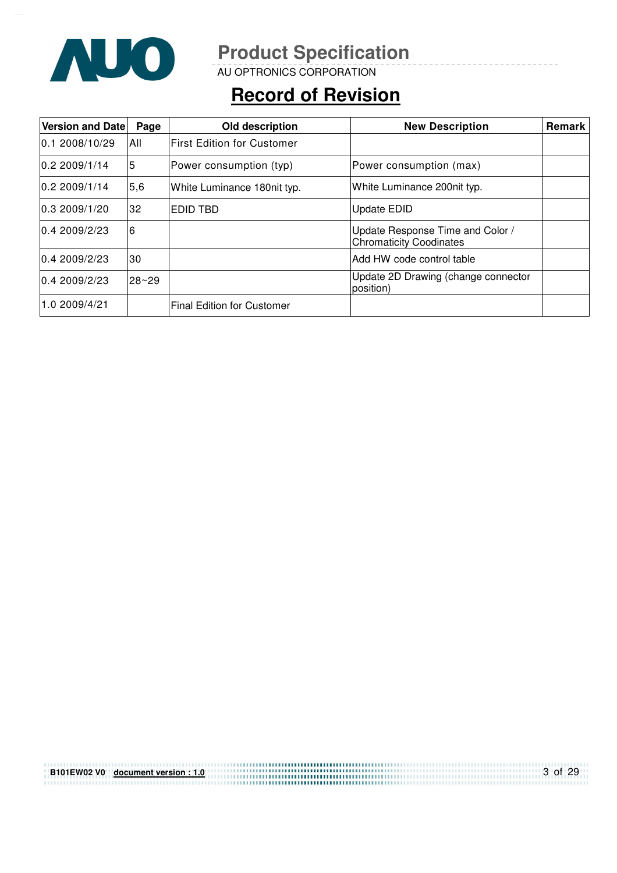

AU OPTRONICS CORPORATION

# **Record of Revision**

| <b>Version and Date</b> | Page      | Old description                   | <b>New Description</b>                                             | Remark |
|-------------------------|-----------|-----------------------------------|--------------------------------------------------------------------|--------|
| 0.12008/10/29           | 'All      | <b>First Edition for Customer</b> |                                                                    |        |
| 0.2 2009/1/14           | 5         | Power consumption (typ)           | Power consumption (max)                                            |        |
| 0.22009/1/14            | 5,6       | White Luminance 180nit typ.       | White Luminance 200nit typ.                                        |        |
| 0.32009/1/20            | 32        | EDID TBD                          | Update EDID                                                        |        |
| 0.42009/2/23            | 6         |                                   | Update Response Time and Color /<br><b>Chromaticity Coodinates</b> |        |
| 0.42009/2/23            | 30        |                                   | IAdd HW code control table                                         |        |
| 0.42009/2/23            | $28 - 29$ |                                   | Update 2D Drawing (change connector<br>position)                   |        |
| 1.0 2009/4/21           |           | <b>Final Edition for Customer</b> |                                                                    |        |

| B101EW02 V0 document version: 1.0 | 3 of 29 |
|-----------------------------------|---------|
|                                   |         |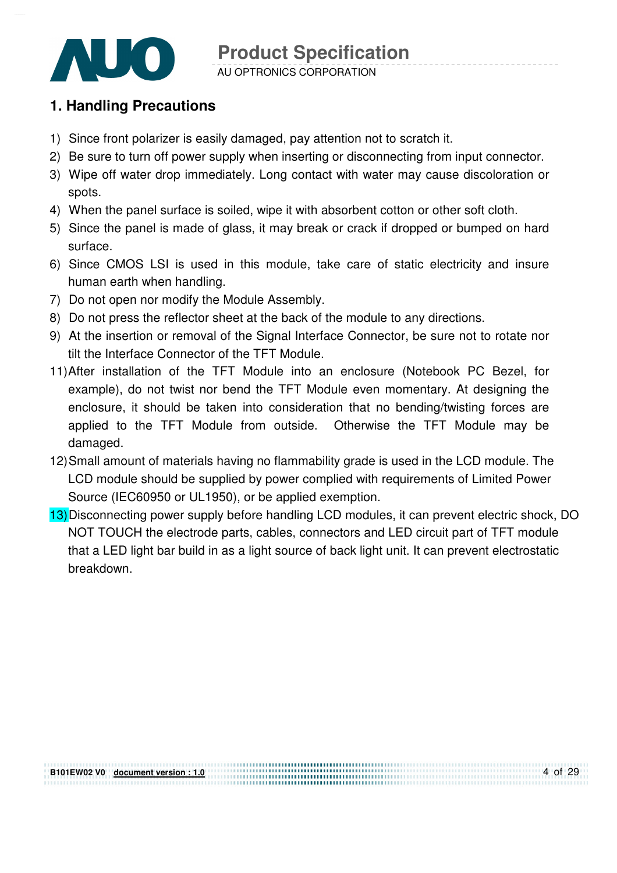

AU OPTRONICS CORPORATION

### **1. Handling Precautions**

- 1) Since front polarizer is easily damaged, pay attention not to scratch it.
- 2) Be sure to turn off power supply when inserting or disconnecting from input connector.
- 3) Wipe off water drop immediately. Long contact with water may cause discoloration or spots.
- 4) When the panel surface is soiled, wipe it with absorbent cotton or other soft cloth.
- 5) Since the panel is made of glass, it may break or crack if dropped or bumped on hard surface.
- 6) Since CMOS LSI is used in this module, take care of static electricity and insure human earth when handling.
- 7) Do not open nor modify the Module Assembly.
- 8) Do not press the reflector sheet at the back of the module to any directions.
- 9) At the insertion or removal of the Signal Interface Connector, be sure not to rotate nor tilt the Interface Connector of the TFT Module.
- 11) After installation of the TFT Module into an enclosure (Notebook PC Bezel, for example), do not twist nor bend the TFT Module even momentary. At designing the enclosure, it should be taken into consideration that no bending/twisting forces are applied to the TFT Module from outside. Otherwise the TFT Module may be damaged.
- 12) Small amount of materials having no flammability grade is used in the LCD module. The LCD module should be supplied by power complied with requirements of Limited Power Source (IEC60950 or UL1950), or be applied exemption.
- 13) Disconnecting power supply before handling LCD modules, it can prevent electric shock, DO NOT TOUCH the electrode parts, cables, connectors and LED circuit part of TFT module that a LED light bar build in as a light source of back light unit. It can prevent electrostatic breakdown.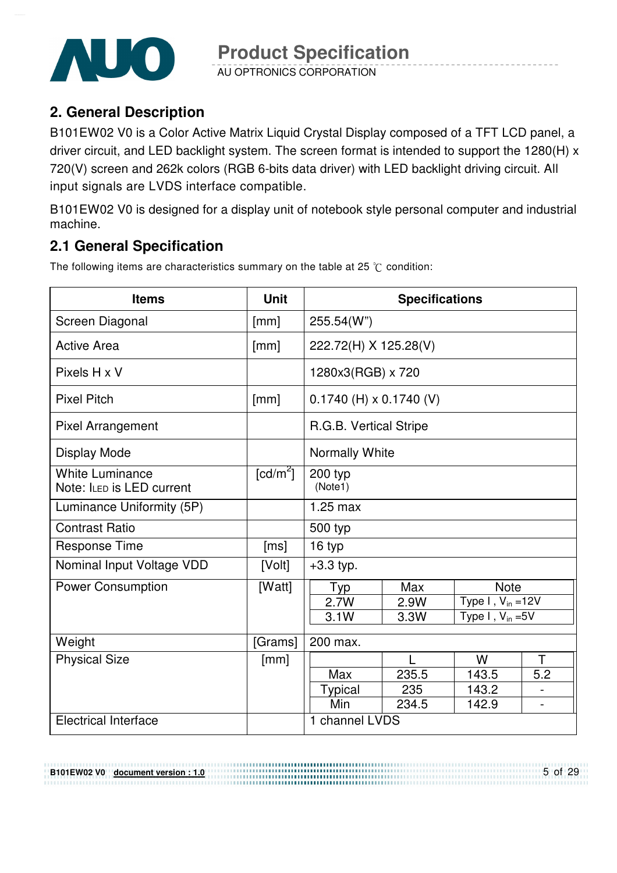

AU OPTRONICS CORPORATION

### **2. General Description**

B101EW02 V0 is a Color Active Matrix Liquid Crystal Display composed of a TFT LCD panel, a driver circuit, and LED backlight system. The screen format is intended to support the 1280(H) x 720(V) screen and 262k colors (RGB 6-bits data driver) with LED backlight driving circuit. All input signals are LVDS interface compatible.

B101EW02 V0 is designed for a display unit of notebook style personal computer and industrial machine.

### **2.1 General Specification**

**B101EW02 V0 document version : 1.0**

The following items are characteristics summary on the table at 25  $\degree$ C condition:

| <b>Items</b>                                        | <b>Unit</b>            | <b>Specifications</b>     |       |                        |                          |
|-----------------------------------------------------|------------------------|---------------------------|-------|------------------------|--------------------------|
| Screen Diagonal                                     | [mm]                   | 255.54(W")                |       |                        |                          |
| <b>Active Area</b>                                  | [mm]                   | 222.72(H) X 125.28(V)     |       |                        |                          |
| Pixels H x V                                        |                        | 1280x3(RGB) x 720         |       |                        |                          |
| <b>Pixel Pitch</b>                                  | [mm]                   | $0.1740$ (H) x 0.1740 (V) |       |                        |                          |
| <b>Pixel Arrangement</b>                            |                        | R.G.B. Vertical Stripe    |       |                        |                          |
| Display Mode                                        |                        | Normally White            |       |                        |                          |
| <b>White Luminance</b><br>Note: ILED is LED current | $\lceil cd/m^2 \rceil$ | 200 typ<br>(Note1)        |       |                        |                          |
| Luminance Uniformity (5P)                           |                        | $1.25$ max                |       |                        |                          |
| <b>Contrast Ratio</b>                               |                        | 500 typ                   |       |                        |                          |
| <b>Response Time</b>                                | [ms]                   | 16 typ                    |       |                        |                          |
| Nominal Input Voltage VDD                           | [Volt]                 | $+3.3$ typ.               |       |                        |                          |
| <b>Power Consumption</b>                            | [Watt]                 | Typ                       | Max   | <b>Note</b>            |                          |
|                                                     |                        | 2.7W                      | 2.9W  | Type $I, V_{in} = 12V$ |                          |
|                                                     |                        | 3.1W                      | 3.3W  | Type I, $V_{in} = 5V$  |                          |
| Weight                                              | [Grams]                | 200 max.                  |       |                        |                          |
| <b>Physical Size</b>                                | [mm]                   | T.<br>W<br>L              |       |                        |                          |
|                                                     |                        | Max                       | 235.5 | 143.5                  | 5.2                      |
|                                                     |                        | <b>Typical</b>            | 235   | 143.2                  |                          |
|                                                     |                        | Min                       | 234.5 | 142.9                  | $\overline{\phantom{0}}$ |
| <b>Electrical Interface</b>                         |                        | 1 channel LVDS            |       |                        |                          |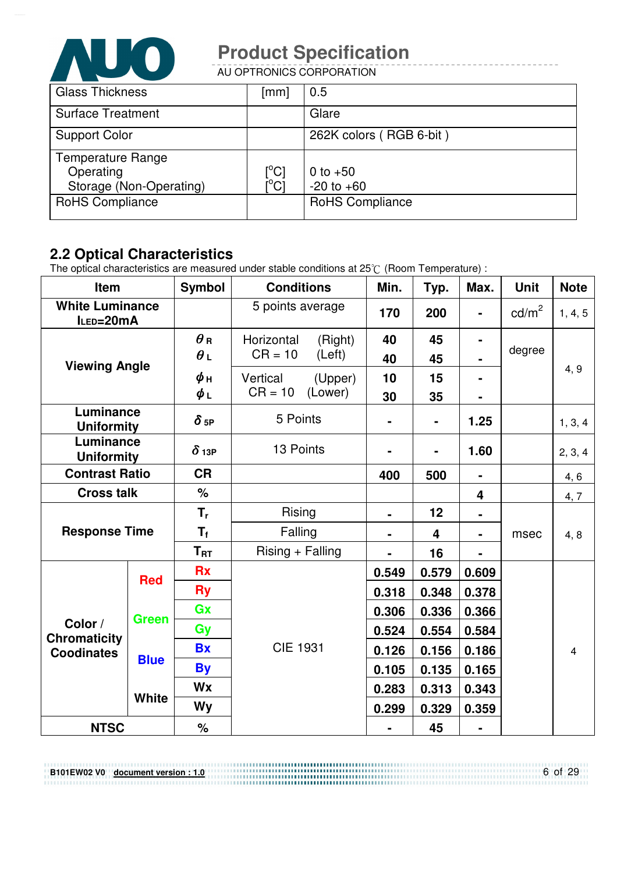

AU OPTRONICS CORPORATION

| <b>Glass Thickness</b>   | [mm]                            | 0.5                     |
|--------------------------|---------------------------------|-------------------------|
| <b>Surface Treatment</b> |                                 | Glare                   |
| <b>Support Color</b>     |                                 | 262K colors (RGB 6-bit) |
| <b>Temperature Range</b> |                                 |                         |
| Operating                | $\rm \left[^{^{\circ}C}\right]$ | 0 to $+50$              |
| Storage (Non-Operating)  |                                 | $-20$ to $+60$          |
| <b>RoHS Compliance</b>   |                                 | <b>RoHS Compliance</b>  |
|                          |                                 |                         |

### **2.2 Optical Characteristics**

**B101EW02 V0 document version : 1.0**

The optical characteristics are measured under stable conditions at 25 $\degree$  (Room Temperature) :

| Item                                         |              | <b>Symbol</b>            | <b>Conditions</b>                            | Min.           | Typ.                    | Max.           | <b>Unit</b>     | <b>Note</b>    |
|----------------------------------------------|--------------|--------------------------|----------------------------------------------|----------------|-------------------------|----------------|-----------------|----------------|
| <b>White Luminance</b><br>ILED=20mA          |              |                          | 5 points average                             | 170            | 200                     | $\blacksquare$ | $\text{cd/m}^2$ | 1, 4, 5        |
|                                              |              | $\theta$ R<br>$\theta L$ | Horizontal<br>(Right)<br>$CR = 10$<br>(Left) | 40<br>40       | 45<br>45                | $\blacksquare$ | degree          |                |
| <b>Viewing Angle</b>                         |              | $\phi$ н<br>$\phi_L$     | Vertical<br>(Upper)<br>$CR = 10$<br>(Lower)  | 10<br>30       | 15<br>35                | $\blacksquare$ |                 | 4, 9           |
| Luminance<br><b>Uniformity</b>               |              | $\delta$ 5P              | 5 Points                                     | $\blacksquare$ | -                       | 1.25           |                 | 1, 3, 4        |
| Luminance<br><b>Uniformity</b>               |              | $\delta$ 13P             | 13 Points                                    | $\blacksquare$ | Ξ.                      | 1.60           |                 | 2, 3, 4        |
| <b>Contrast Ratio</b>                        |              | <b>CR</b>                |                                              | 400            | 500                     | $\blacksquare$ |                 | 4, 6           |
| <b>Cross talk</b>                            |              | $\frac{1}{2}$            |                                              |                |                         | 4              |                 | 4,7            |
|                                              |              | $T_{r}$                  | Rising                                       | $\blacksquare$ | 12                      |                |                 |                |
| <b>Response Time</b>                         |              | $T_f$                    | Falling                                      |                | $\overline{\mathbf{4}}$ | ۰              | msec            | 4, 8           |
|                                              |              | $T_{\rm RT}$             | $Rising + Falling$                           |                | 16                      |                |                 |                |
| <b>Red</b>                                   |              | <b>Rx</b>                |                                              | 0.549          | 0.579                   | 0.609          |                 |                |
|                                              |              | <b>Ry</b>                |                                              | 0.318          | 0.348                   | 0.378          |                 |                |
|                                              | <b>Green</b> | Gx                       |                                              | 0.306          | 0.336                   | 0.366          |                 |                |
| Color /<br>Chromaticity<br><b>Coodinates</b> |              | Gy                       |                                              | 0.524          | 0.554                   | 0.584          |                 |                |
|                                              |              | <b>Bx</b>                | <b>CIE 1931</b>                              | 0.126          | 0.156                   | 0.186          |                 | $\overline{4}$ |
|                                              | <b>Blue</b>  | <b>By</b>                |                                              | 0.105          | 0.135                   | 0.165          |                 |                |
|                                              |              | <b>Wx</b>                |                                              | 0.283          | 0.313                   | 0.343          |                 |                |
|                                              | <b>White</b> | Wy                       |                                              | 0.299          | 0.329                   | 0.359          |                 |                |
| <b>NTSC</b>                                  |              | $\%$                     |                                              | $\blacksquare$ | 45                      | $\blacksquare$ |                 |                |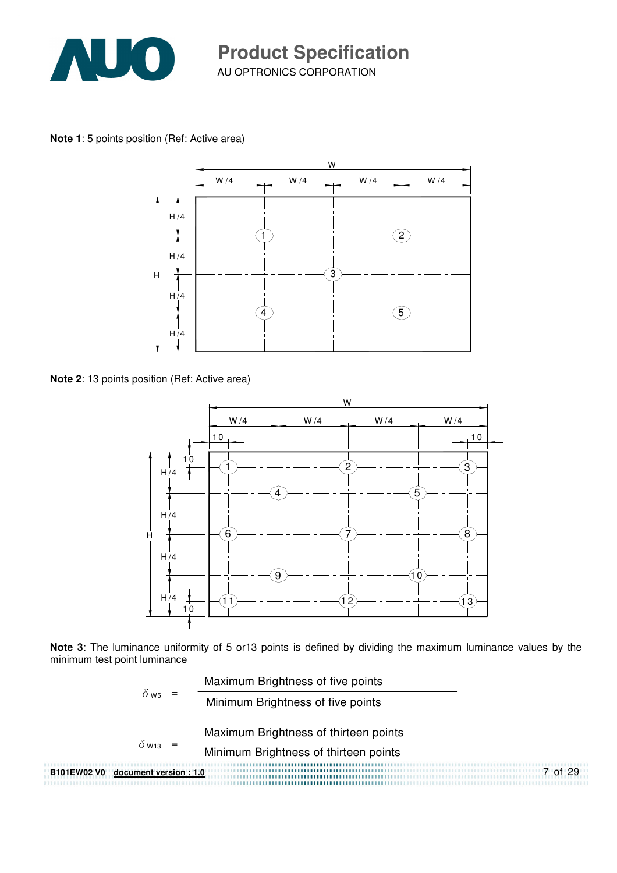

**Note 1**: 5 points position (Ref: Active area)



**Note 2**: 13 points position (Ref: Active area)



**Note 3**: The luminance uniformity of 5 or13 points is defined by dividing the maximum luminance values by the minimum test point luminance

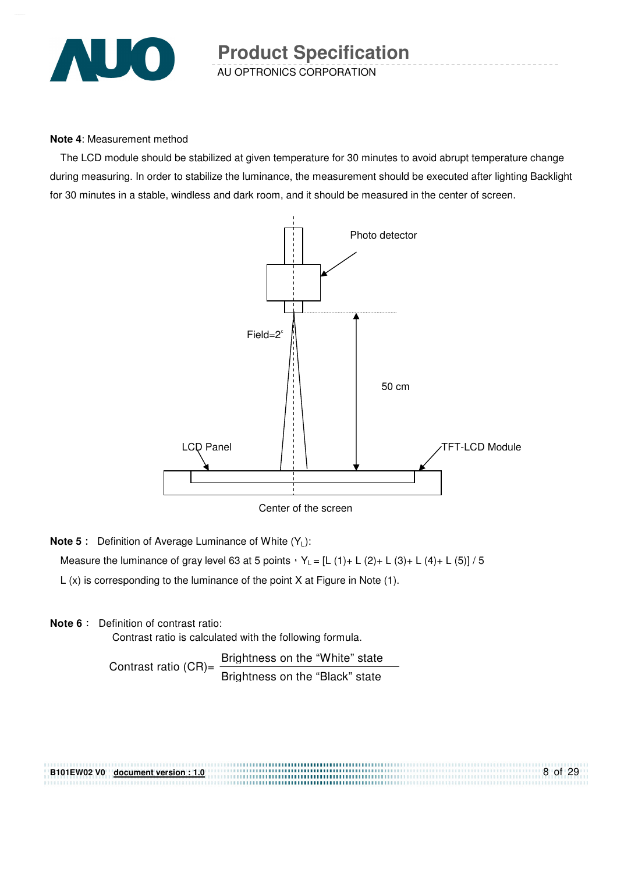

#### **Note 4**: Measurement method

The LCD module should be stabilized at given temperature for 30 minutes to avoid abrupt temperature change during measuring. In order to stabilize the luminance, the measurement should be executed after lighting Backlight for 30 minutes in a stable, windless and dark room, and it should be measured in the center of screen.



Center of the screen

**Note 5** : Definition of Average Luminance of White (Y<sub>L</sub>):

Measure the luminance of gray level 63 at 5 points  $Y_L = [L (1) + L (2) + L (3) + L (4) + L (5)] / 5$ 

L (x) is corresponding to the luminance of the point X at Figure in Note (1).

#### **Note 6** : Definition of contrast ratio:

Contrast ratio is calculated with the following formula.

Contrast ratio  $(CR)$ = Brightness on the "White" state Brightness on the "Black" state

8 of 29 **B101EW02 V0 document version : 1.0**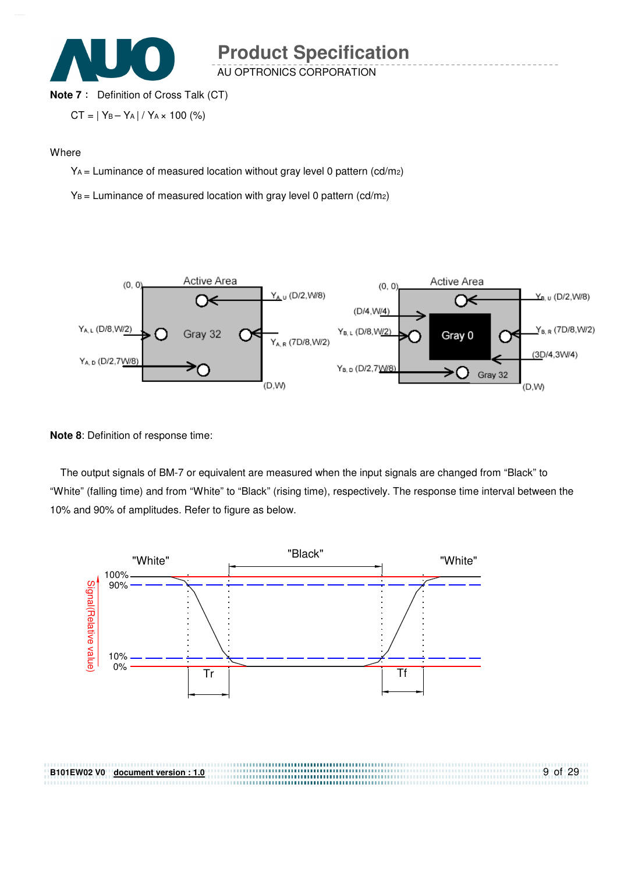

AU OPTRONICS CORPORATION

#### **Note 7** : Definition of Cross Talk (CT)

$$
CT = | Y_B - Y_A | / Y_A \times 100 (%)
$$

#### **Where**

YA = Luminance of measured location without gray level 0 pattern (cd/m2)

 $Y_B$  = Luminance of measured location with gray level 0 pattern (cd/m2)



#### **Note 8**: Definition of response time:

**B101EW02 V0 document version : 1.0**

The output signals of BM-7 or equivalent are measured when the input signals are changed from "Black" to "White" (falling time) and from "White" to "Black" (rising time), respectively. The response time interval between the 10% and 90% of amplitudes. Refer to figure as below.

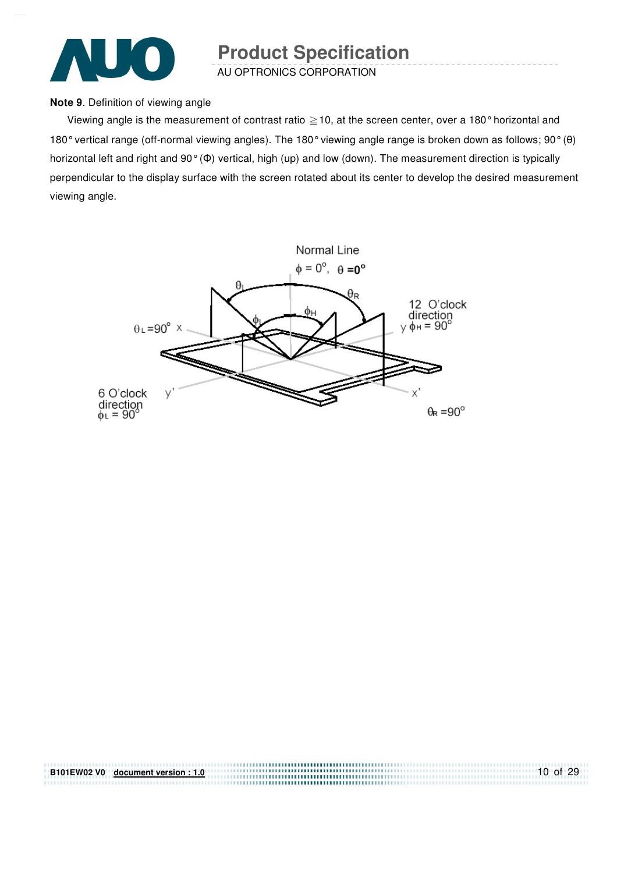

AU OPTRONICS CORPORATION

#### **Note 9**. Definition of viewing angle

Viewing angle is the measurement of contrast ratio  $\geq$  10, at the screen center, over a 180° horizontal and 180° vertical range (off-normal viewing angles). The 180° viewing angle range is broken down as follows; 90° (θ) horizontal left and right and 90° (Φ) vertical, high (up) and low (down). The measurement direction is typically perpendicular to the display surface with the screen rotated about its center to develop the desired measurement viewing angle.



| B101EW02 V0 document version: 1.0 | 10 of $29$ |
|-----------------------------------|------------|
|                                   |            |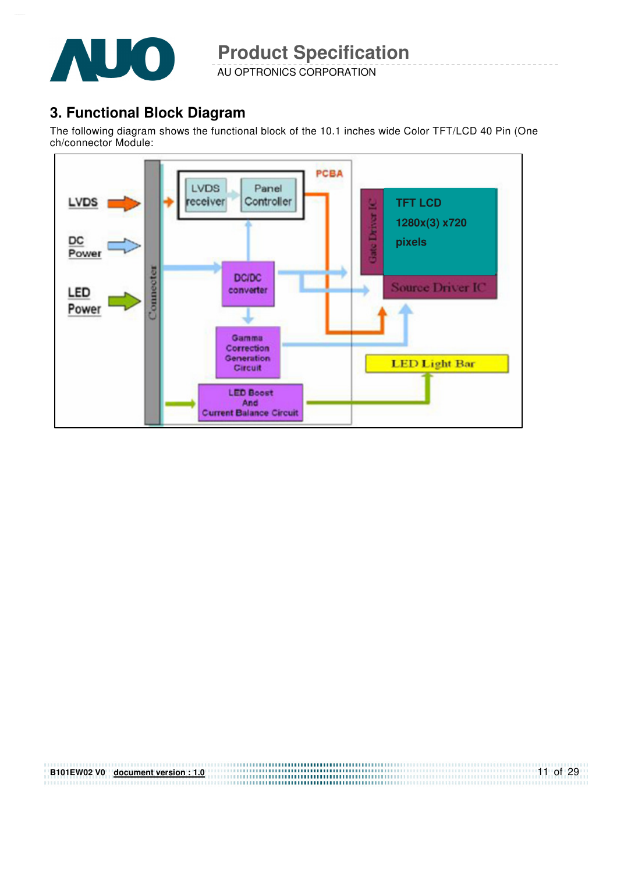

AU OPTRONICS CORPORATION

#### **3. Functional Block Diagram**

The following diagram shows the functional block of the 10.1 inches wide Color TFT/LCD 40 Pin (One ch/connector Module:



| B101EW02 V0 document version: 1.0 | 11 of 29 |
|-----------------------------------|----------|
|                                   |          |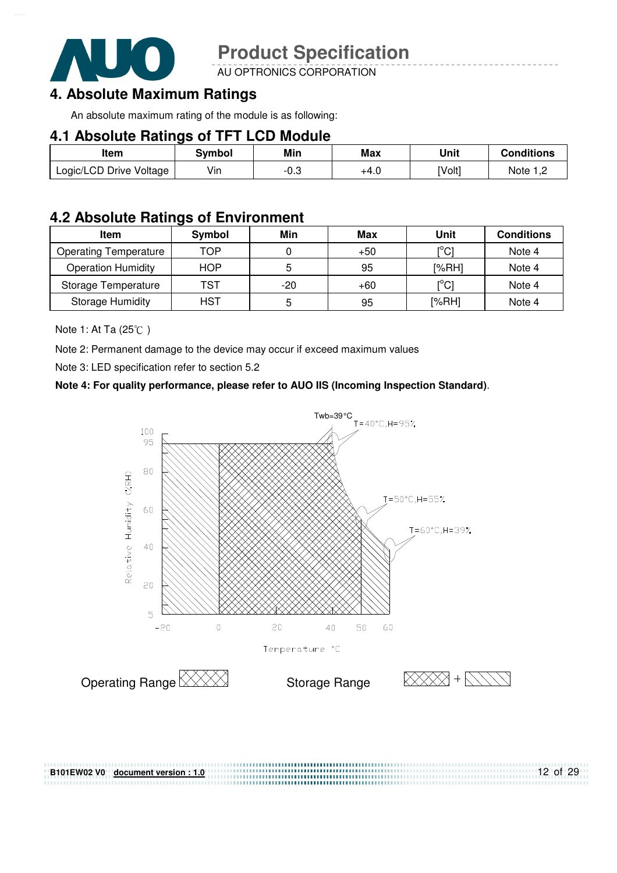

AU OPTRONICS CORPORATION

#### **4. Absolute Maximum Ratings**

An absolute maximum rating of the module is as following:

#### **4.1 Absolute Ratings of TFT LCD Module**

| Item                    | Svmbol | Min  | Max  | Unit   | <b>Conditions</b> |
|-------------------------|--------|------|------|--------|-------------------|
| Logic/LCD Drive Voltage | Vin    | -0.3 | +4.0 | [Volt] | Note 1,2          |

#### **4.2 Absolute Ratings of Environment**

| <b>Item</b>                  | Symbol     | Min | Max   | Unit                                    | <b>Conditions</b> |
|------------------------------|------------|-----|-------|-----------------------------------------|-------------------|
| <b>Operating Temperature</b> | TOP        |     | $+50$ | [°C]                                    | Note 4            |
| <b>Operation Humidity</b>    | <b>HOP</b> |     | 95    | [%RH]                                   | Note 4            |
| Storage Temperature          | TST        | -20 | $+60$ | $\mathsf{I}^\circ\mathsf{C} \mathsf{I}$ | Note 4            |
| <b>Storage Humidity</b>      | HST        |     | 95    | [%RH]                                   | Note 4            |

Note 1: At Ta  $(25^{\circ}\text{C})$ 

Note 2: Permanent damage to the device may occur if exceed maximum values

Note 3: LED specification refer to section 5.2

#### **Note 4: For quality performance, please refer to AUO IIS (Incoming Inspection Standard)**.



**B101EW02 V0 document version : 1.0**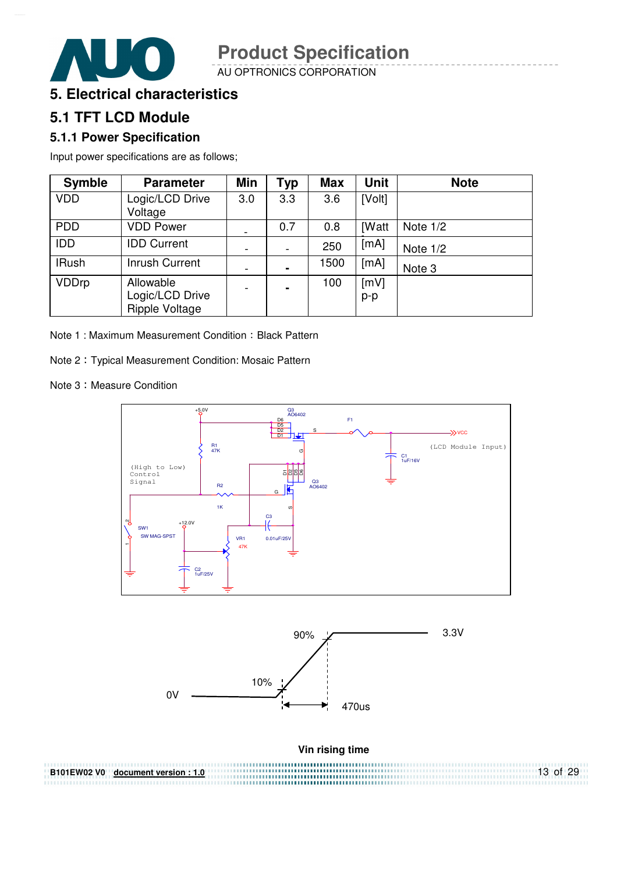AU OPTRONICS CORPORATION



#### **5.1 TFT LCD Module**

#### **5.1.1 Power Specification**

Input power specifications are as follows;

| <b>Symble</b> | <b>Parameter</b>                                      | Min | <b>Typ</b>     | <b>Max</b> | <b>Unit</b>  | <b>Note</b> |
|---------------|-------------------------------------------------------|-----|----------------|------------|--------------|-------------|
| <b>VDD</b>    | Logic/LCD Drive<br>Voltage                            | 3.0 | 3.3            | 3.6        | [Volt]       |             |
| <b>PDD</b>    | <b>VDD Power</b>                                      |     | 0.7            | 0.8        | <b>[Watt</b> | Note $1/2$  |
| <b>IDD</b>    | <b>IDD Current</b>                                    |     |                | 250        | [mA]         | Note $1/2$  |
| <b>IRush</b>  | <b>Inrush Current</b>                                 |     | $\blacksquare$ | 1500       | [mA]         | Note 3      |
| <b>VDDrp</b>  | Allowable<br>Logic/LCD Drive<br><b>Ripple Voltage</b> |     | $\blacksquare$ | 100        | [mV]<br>p-p  |             |

Note 1: Maximum Measurement Condition: Black Pattern

Note 2 Typical Measurement Condition: Mosaic Pattern

Note 3: Measure Condition

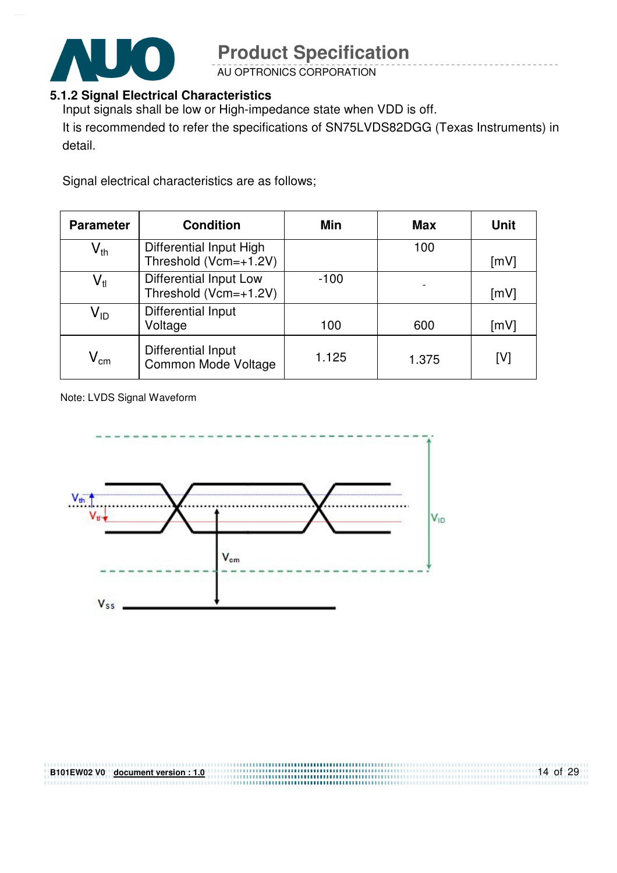

AU OPTRONICS CORPORATION

#### **5.1.2 Signal Electrical Characteristics**

Input signals shall be low or High-impedance state when VDD is off.

It is recommended to refer the specifications of SN75LVDS82DGG (Texas Instruments) in detail.

Signal electrical characteristics are as follows;

| <b>Parameter</b>           | <b>Condition</b>                                 | Min    | <b>Max</b> | <b>Unit</b> |
|----------------------------|--------------------------------------------------|--------|------------|-------------|
| $\mathsf{V}_{\mathsf{th}}$ | Differential Input High<br>Threshold (Vcm=+1.2V) |        | 100        | [mV]        |
| $\mathsf{V}_{\mathsf{tl}}$ | Differential Input Low<br>Threshold (Vcm=+1.2V)  | $-100$ |            | [mV]        |
| V <sub>ID</sub>            | Differential Input<br>Voltage                    | 100    | 600        | [mV]        |
| $V_{\text{cm}}$            | Differential Input<br>Common Mode Voltage        | 1.125  | 1.375      | [V]         |

Note: LVDS Signal Waveform

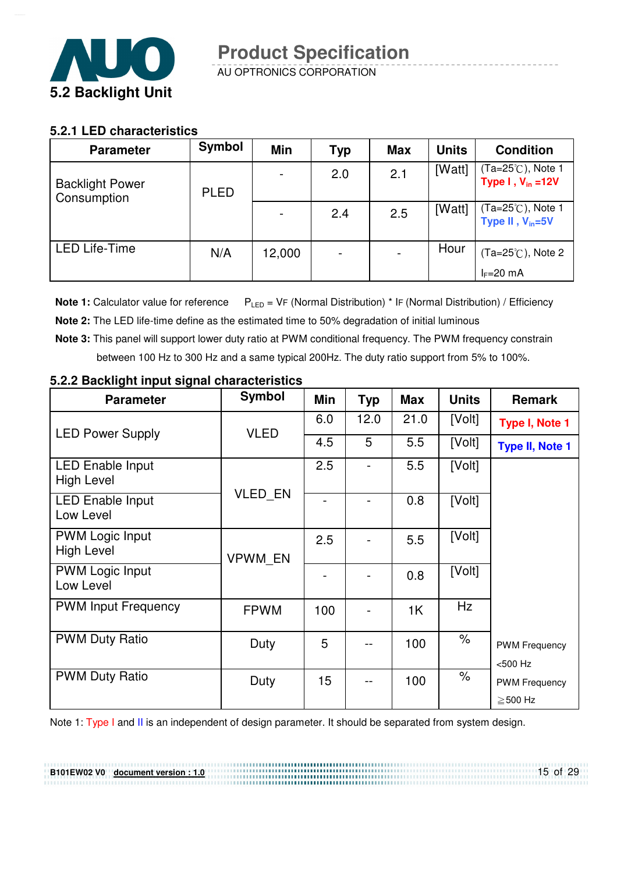

#### **5.2.1 LED characteristics**

| <b>Parameter</b>                      | Symbol      | <b>Min</b> | <b>Typ</b>      | <b>Max</b> | <b>Units</b> | <b>Condition</b>                                    |
|---------------------------------------|-------------|------------|-----------------|------------|--------------|-----------------------------------------------------|
| <b>Backlight Power</b><br>Consumption | <b>PLED</b> |            | 2.0             | 2.1        | [Watt]       | (Ta=25℃), Note 1<br>Type $I, V_{in} = 12V$          |
|                                       |             |            | 2.4             | 2.5        | [Watt]       | $(Ta=25^{\circ}$ C), Note 1<br>Type II, $V_{in}=5V$ |
| <b>LED Life-Time</b>                  | N/A         | 12,000     | $\qquad \qquad$ |            | Hour         | $(Ta=25^{\circ}C)$ , Note 2                         |
|                                       |             |            |                 |            |              | $I_F=20$ mA                                         |

**Note 1:** Calculator value for reference  $P_{LED} = VF$  (Normal Distribution) \* IF (Normal Distribution) / Efficiency

- **Note 2:** The LED life-time define as the estimated time to 50% degradation of initial luminous
- **Note 3:** This panel will support lower duty ratio at PWM conditional frequency. The PWM frequency constrain between 100 Hz to 300 Hz and a same typical 200Hz. The duty ratio support from 5% to 100%.

| <b>Parameter</b>                             | <b>Symbol</b>  | Min | <b>Typ</b> | <b>Max</b> | <b>Units</b>         | <b>Remark</b>                         |
|----------------------------------------------|----------------|-----|------------|------------|----------------------|---------------------------------------|
| <b>LED Power Supply</b>                      | <b>VLED</b>    | 6.0 | 12.0       | 21.0       | [Volt]               | Type I, Note 1                        |
|                                              |                | 4.5 | 5          | 5.5        | [Volt]               | <b>Type II, Note 1</b>                |
| <b>LED Enable Input</b><br><b>High Level</b> |                | 2.5 |            | 5.5        | [Volt]               |                                       |
| <b>LED Enable Input</b><br>Low Level         | <b>VLED EN</b> |     |            | 0.8        | [Volt]               |                                       |
| <b>PWM Logic Input</b><br><b>High Level</b>  | <b>VPWM EN</b> | 2.5 |            | 5.5        | [Volt]               |                                       |
| <b>PWM Logic Input</b><br>Low Level          |                |     |            | 0.8        | [Volt]               |                                       |
| <b>PWM Input Frequency</b>                   | <b>FPWM</b>    | 100 |            | 1K         | Hz                   |                                       |
| <b>PWM Duty Ratio</b>                        | Duty           | 5   |            | 100        | $\%$                 | <b>PWM Frequency</b><br>$< 500$ Hz    |
| <b>PWM Duty Ratio</b>                        | Duty           | 15  |            | 100        | $\frac{1}{\sqrt{2}}$ | <b>PWM Frequency</b><br>$\geq$ 500 Hz |
|                                              |                |     |            |            |                      |                                       |

#### **5.2.2 Backlight input signal characteristics**

**B101EW02 V0 document version : 1.0**

Note 1: Type I and II is an independent of design parameter. It should be separated from system design.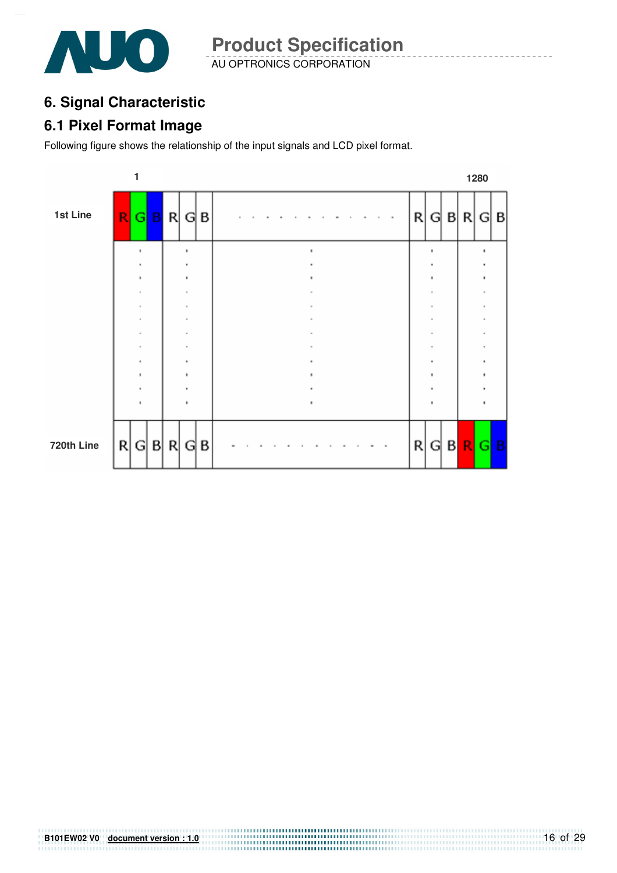

AU OPTRONICS CORPORATION **Product Specification** 

### **6. Signal Characteristic**

#### **6.1 Pixel Format Image**

Following figure shows the relationship of the input signals and LCD pixel format.



# **B101EW02 V0 document version : 1.0**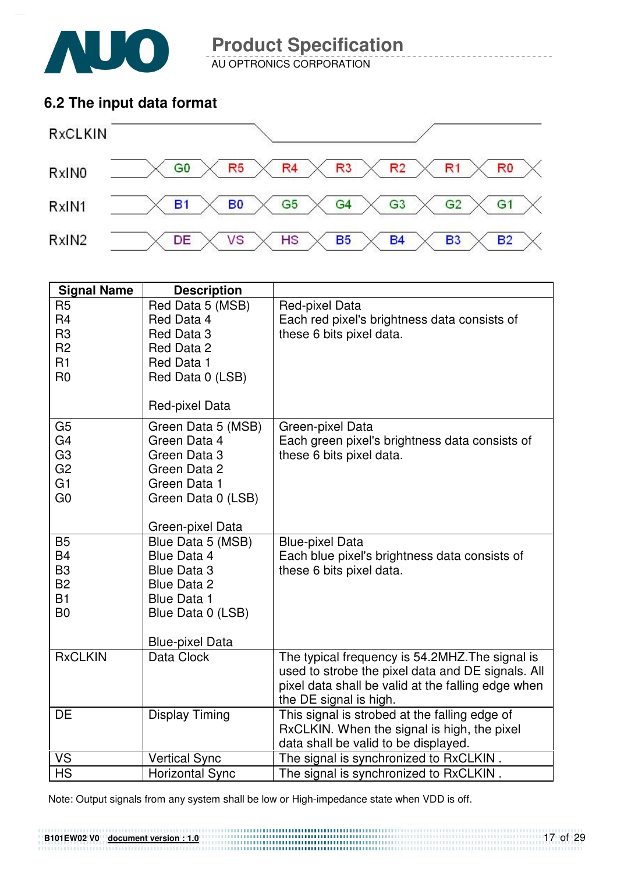

AU OPTRONICS CORPORATION

#### **6.2 The input data format**



| <b>Signal Name</b>          | <b>Description</b>                       |                                                    |
|-----------------------------|------------------------------------------|----------------------------------------------------|
| R <sub>5</sub>              | Red Data 5 (MSB)                         | Red-pixel Data                                     |
| R <sub>4</sub>              | Red Data 4                               | Each red pixel's brightness data consists of       |
| R <sub>3</sub>              | Red Data 3                               | these 6 bits pixel data.                           |
| R <sub>2</sub>              | Red Data 2                               |                                                    |
| R <sub>1</sub>              | Red Data 1                               |                                                    |
| R <sub>0</sub>              | Red Data 0 (LSB)                         |                                                    |
|                             | Red-pixel Data                           |                                                    |
| G <sub>5</sub>              | Green Data 5 (MSB)                       | Green-pixel Data                                   |
| G4                          | Green Data 4                             | Each green pixel's brightness data consists of     |
| G <sub>3</sub>              | Green Data 3                             | these 6 bits pixel data.                           |
| G <sub>2</sub>              | Green Data 2                             |                                                    |
| G1                          | Green Data 1                             |                                                    |
| G <sub>0</sub>              | Green Data 0 (LSB)                       |                                                    |
|                             |                                          |                                                    |
|                             | Green-pixel Data                         |                                                    |
| <b>B5</b>                   | Blue Data 5 (MSB)                        | <b>Blue-pixel Data</b>                             |
| <b>B4</b><br>B <sub>3</sub> | Blue Data 4                              | Each blue pixel's brightness data consists of      |
| <b>B2</b>                   | <b>Blue Data 3</b><br><b>Blue Data 2</b> | these 6 bits pixel data.                           |
| <b>B1</b>                   | <b>Blue Data 1</b>                       |                                                    |
| B <sub>0</sub>              | Blue Data 0 (LSB)                        |                                                    |
|                             |                                          |                                                    |
|                             | <b>Blue-pixel Data</b>                   |                                                    |
| <b>RxCLKIN</b>              | Data Clock                               | The typical frequency is 54.2MHZ. The signal is    |
|                             |                                          | used to strobe the pixel data and DE signals. All  |
|                             |                                          | pixel data shall be valid at the falling edge when |
|                             |                                          | the DE signal is high.                             |
| <b>DE</b>                   | <b>Display Timing</b>                    | This signal is strobed at the falling edge of      |
|                             |                                          | RxCLKIN. When the signal is high, the pixel        |
|                             |                                          | data shall be valid to be displayed.               |
| <b>VS</b>                   | <b>Vertical Sync</b>                     | The signal is synchronized to RxCLKIN.             |
| <b>HS</b>                   | <b>Horizontal Sync</b>                   | The signal is synchronized to RxCLKIN.             |

Note: Output signals from any system shall be low or High-impedance state when VDD is off.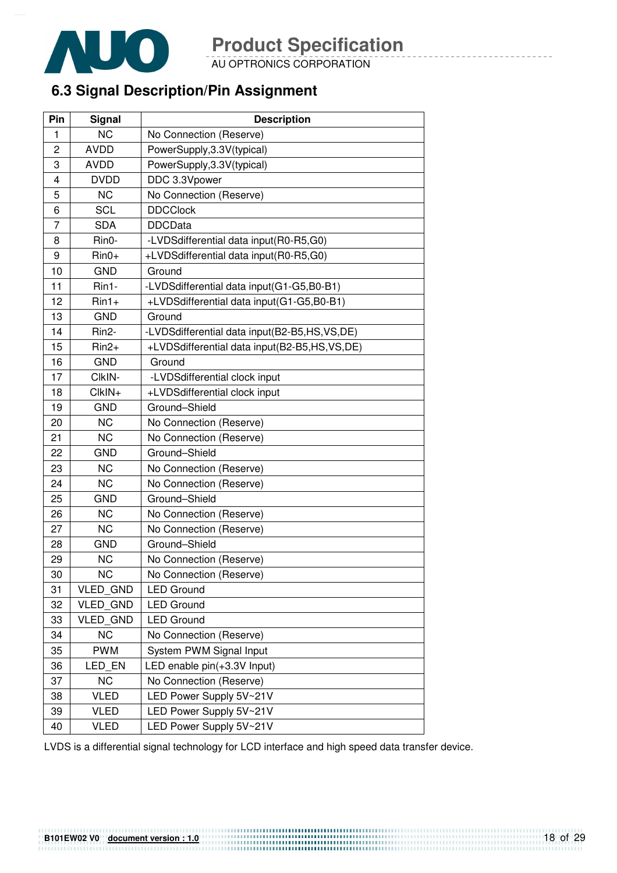

AU OPTRONICS CORPORATION

### **6.3 Signal Description/Pin Assignment**

| Pin | Signal          | <b>Description</b>                           |
|-----|-----------------|----------------------------------------------|
| 1   | <b>NC</b>       | No Connection (Reserve)                      |
| 2   | <b>AVDD</b>     | PowerSupply, 3.3V(typical)                   |
| 3   | <b>AVDD</b>     | PowerSupply, 3.3V(typical)                   |
| 4   | <b>DVDD</b>     | DDC 3.3Vpower                                |
| 5   | <b>NC</b>       | No Connection (Reserve)                      |
| 6   | <b>SCL</b>      | <b>DDCClock</b>                              |
| 7   | <b>SDA</b>      | <b>DDCData</b>                               |
| 8   | Rin0-           | -LVDSdifferential data input(R0-R5,G0)       |
| 9   | $Rin0+$         | +LVDSdifferential data input(R0-R5,G0)       |
| 10  | <b>GND</b>      | Ground                                       |
| 11  | Rin1-           | -LVDSdifferential data input(G1-G5,B0-B1)    |
| 12  | $Rin1+$         | +LVDSdifferential data input(G1-G5,B0-B1)    |
| 13  | <b>GND</b>      | Ground                                       |
| 14  | Rin2-           | -LVDSdifferential data input(B2-B5,HS,VS,DE) |
| 15  | $Rin2+$         | +LVDSdifferential data input(B2-B5,HS,VS,DE) |
| 16  | <b>GND</b>      | Ground                                       |
| 17  | CIkIN-          | -LVDSdifferential clock input                |
| 18  | $ClkIN+$        | +LVDSdifferential clock input                |
| 19  | <b>GND</b>      | Ground-Shield                                |
| 20  | <b>NC</b>       | No Connection (Reserve)                      |
| 21  | <b>NC</b>       | No Connection (Reserve)                      |
| 22  | <b>GND</b>      | Ground-Shield                                |
| 23  | <b>NC</b>       | No Connection (Reserve)                      |
| 24  | <b>NC</b>       | No Connection (Reserve)                      |
| 25  | <b>GND</b>      | Ground-Shield                                |
| 26  | <b>NC</b>       | No Connection (Reserve)                      |
| 27  | <b>NC</b>       | No Connection (Reserve)                      |
| 28  | <b>GND</b>      | Ground-Shield                                |
| 29  | <b>NC</b>       | No Connection (Reserve)                      |
| 30  | <b>NC</b>       | No Connection (Reserve)                      |
| 31  | VLED_GND        | <b>LED Ground</b>                            |
| 32  | <b>VLED GND</b> | <b>LED Ground</b>                            |
| 33  | <b>VLED GND</b> | <b>LED Ground</b>                            |
| 34  | <b>NC</b>       | No Connection (Reserve)                      |
| 35  | <b>PWM</b>      | System PWM Signal Input                      |
| 36  | LED_EN          | LED enable pin(+3.3V Input)                  |
| 37  | <b>NC</b>       | No Connection (Reserve)                      |
| 38  | <b>VLED</b>     | LED Power Supply 5V~21V                      |
| 39  | <b>VLED</b>     | LED Power Supply 5V~21V                      |
| 40  | <b>VLED</b>     | LED Power Supply 5V~21V                      |

LVDS is a differential signal technology for LCD interface and high speed data transfer device.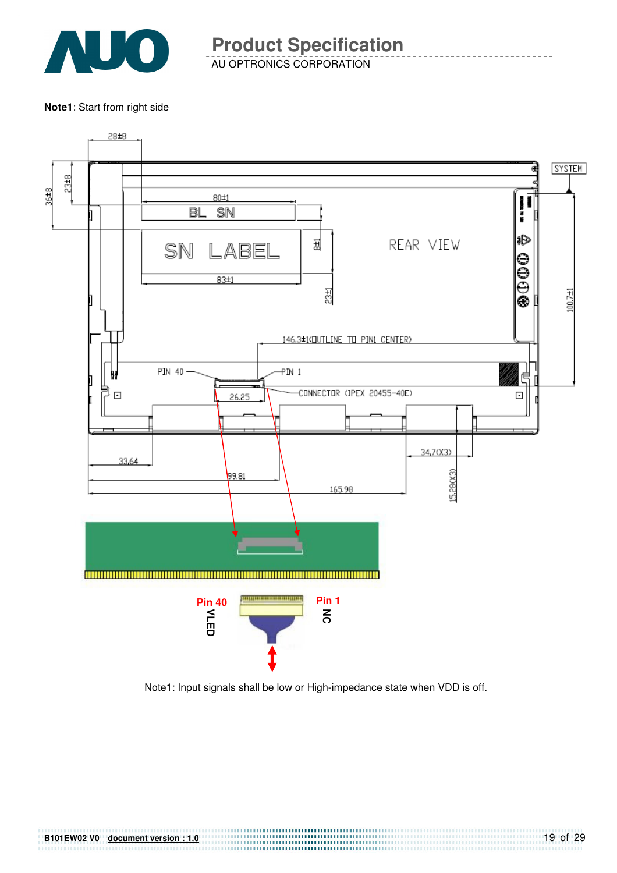

AU OPTRONICS CORPORATION **Product Specification** 

**Note1**: Start from right side



Note1: Input signals shall be low or High-impedance state when VDD is off.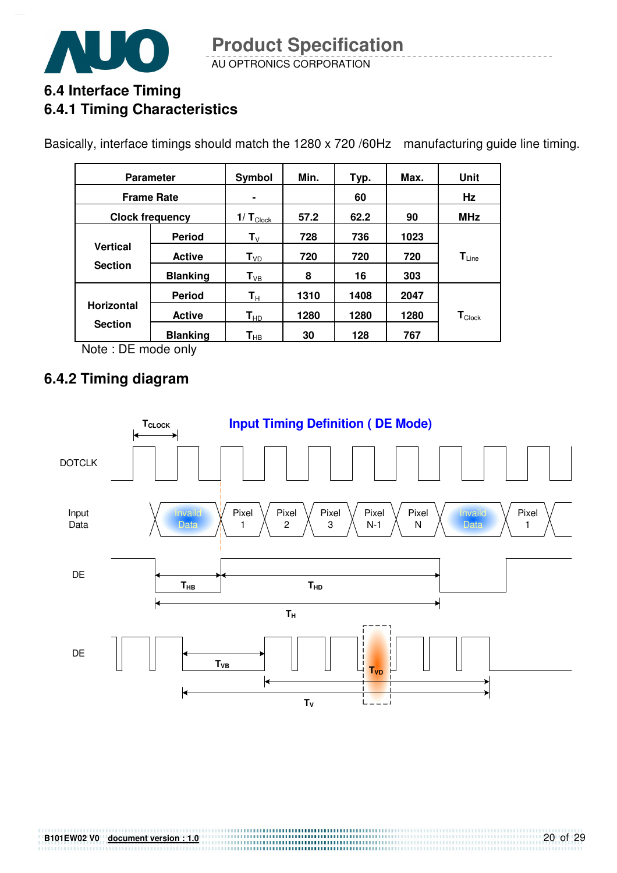

AU OPTRONICS CORPORATION **Product Specification** 

### **6.4 Interface Timing 6.4.1 Timing Characteristics**

Basically, interface timings should match the 1280 x 720 /60Hz manufacturing guide line timing.

|                   | <b>Parameter</b>       | Symbol                     | Min. | Typ. | Max. | Unit               |
|-------------------|------------------------|----------------------------|------|------|------|--------------------|
|                   | <b>Frame Rate</b>      |                            |      | 60   |      | Hz                 |
|                   | <b>Clock frequency</b> | 1/ $T_{\text{Clock}}$      | 57.2 | 62.2 | 90   | <b>MHz</b>         |
|                   | <b>Period</b>          | $\mathbf{T}_{\mathsf{V}}$  | 728  | 736  | 1023 |                    |
| <b>Vertical</b>   | <b>Active</b>          | $T_{VD}$                   | 720  | 720  | 720  | $T_{Line}$         |
| <b>Section</b>    | <b>Blanking</b>        | $T_{VB}$                   | 8    | 16   | 303  |                    |
|                   | <b>Period</b>          | $\mathbf{T}_\text{H}$      | 1310 | 1408 | 2047 |                    |
| <b>Horizontal</b> | <b>Active</b>          | $\mathsf{T}_{\mathsf{HD}}$ | 1280 | 1280 | 1280 | $T_{\text{Clock}}$ |
| <b>Section</b>    | <b>Blanking</b>        | $\mathbf{T}_{\mathsf{HB}}$ | 30   | 128  | 767  |                    |

Note : DE mode only

### **6.4.2 Timing diagram**

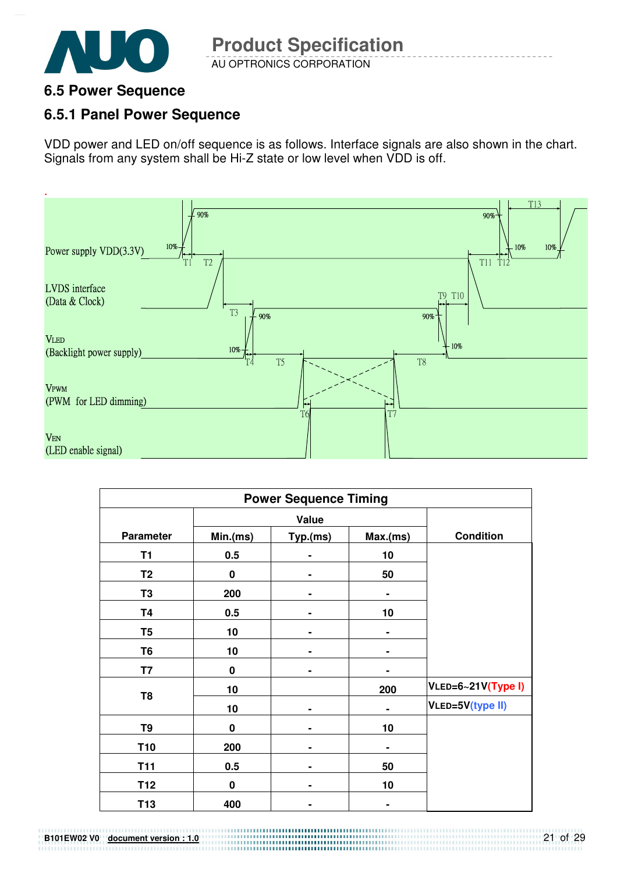

### **6.5 Power Sequence**

### **6.5.1 Panel Power Sequence**

VDD power and LED on/off sequence is as follows. Interface signals are also shown in the chart. Signals from any system shall be Hi-Z state or low level when VDD is off.



|                  |             | <b>Power Sequence Timing</b> |                |                    |
|------------------|-------------|------------------------------|----------------|--------------------|
|                  |             | Value                        |                |                    |
| <b>Parameter</b> | Min(ms)     | Typ.(ms)                     | Max(ms)        | <b>Condition</b>   |
| T <sub>1</sub>   | 0.5         |                              | 10             |                    |
| T <sub>2</sub>   | $\bf{0}$    |                              | 50             |                    |
| T <sub>3</sub>   | 200         |                              |                |                    |
| <b>T4</b>        | 0.5         |                              | 10             |                    |
| T <sub>5</sub>   | 10          |                              |                |                    |
| T <sub>6</sub>   | 10          |                              |                |                    |
| T7               | $\mathbf 0$ |                              |                |                    |
| T <sub>8</sub>   | 10          |                              | 200            | VLED=6~21V(Type I) |
|                  | 10          |                              | ۰              | VLED=5V(type II)   |
| T9               | $\bf{0}$    |                              | 10             |                    |
| T <sub>10</sub>  | 200         |                              | $\blacksquare$ |                    |
| <b>T11</b>       | 0.5         |                              | 50             |                    |
| T <sub>12</sub>  | $\bf{0}$    |                              | 10             |                    |
| T <sub>13</sub>  | 400         |                              | ۰              |                    |

**B101EW02 V0 document version : 1.0**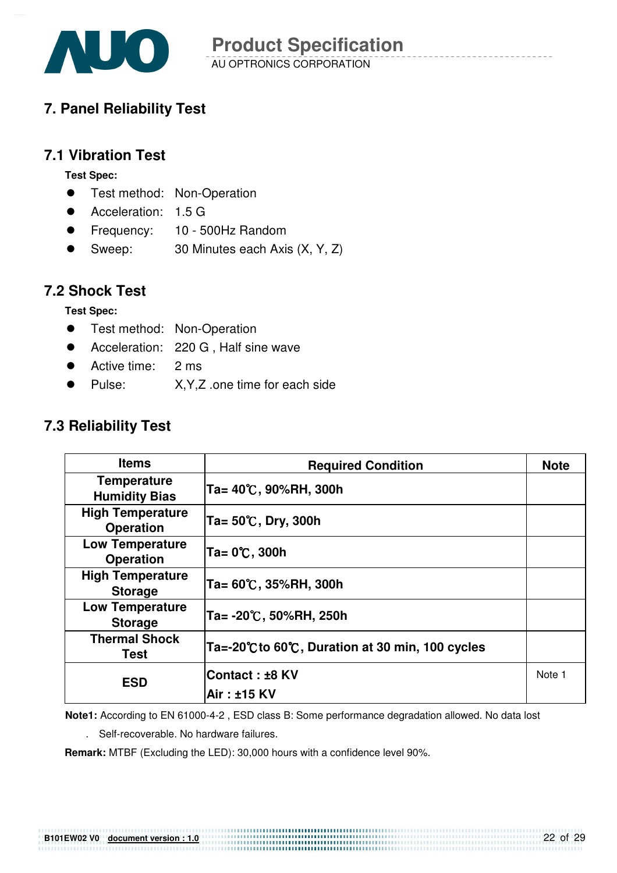

### **7. Panel Reliability Test**

#### **7.1 Vibration Test**

**Test Spec:** 

- **•** Test method: Non-Operation
- Acceleration: 1.5 G
- Frequency: 10 500Hz Random
- Sweep: 30 Minutes each Axis (X, Y, Z)

#### **7.2 Shock Test**

**Test Spec:** 

- **•** Test method: Non-Operation
- Acceleration: 220 G, Half sine wave
- Active time: 2 ms
- Pulse: X,Y,Z .one time for each side

#### **7.3 Reliability Test**

| <b>Items</b>                                | <b>Required Condition</b>                     | <b>Note</b> |
|---------------------------------------------|-----------------------------------------------|-------------|
| <b>Temperature</b><br><b>Humidity Bias</b>  | Ta= 40℃, 90%RH, 300h                          |             |
| <b>High Temperature</b><br><b>Operation</b> | Ta= 50℃, Dry, 300h                            |             |
| <b>Low Temperature</b><br><b>Operation</b>  | Ta= 0℃, 300h                                  |             |
| <b>High Temperature</b><br><b>Storage</b>   | Ta= 60℃, 35%RH, 300h                          |             |
| <b>Low Temperature</b><br><b>Storage</b>    | Ta= -20℃, 50%RH, 250h                         |             |
| <b>Thermal Shock</b><br>Test                | Ta=-20℃to 60℃, Duration at 30 min, 100 cycles |             |
| <b>ESD</b>                                  | <b>Contact : ±8 KV</b>                        | Note 1      |
|                                             | Air: ±15 KV                                   |             |

**Note1:** According to EN 61000-4-2 , ESD class B: Some performance degradation allowed. No data lost

. Self-recoverable. No hardware failures.

**Remark:** MTBF (Excluding the LED): 30,000 hours with a confidence level 90%.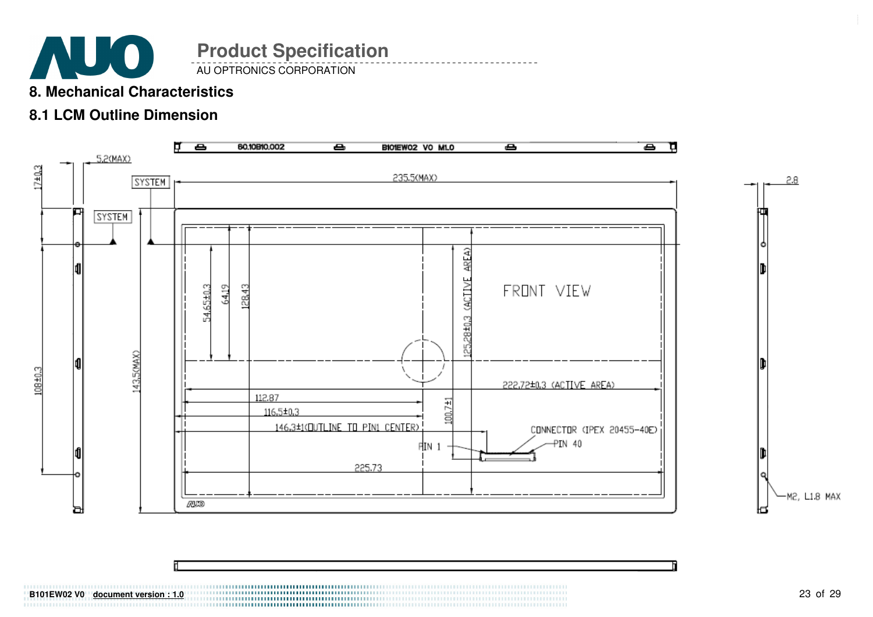

#### **8. Mechanical Characteristics**

### **8.1 LCM Outline Dimension**



**B101EW02 V0** document version : 1.0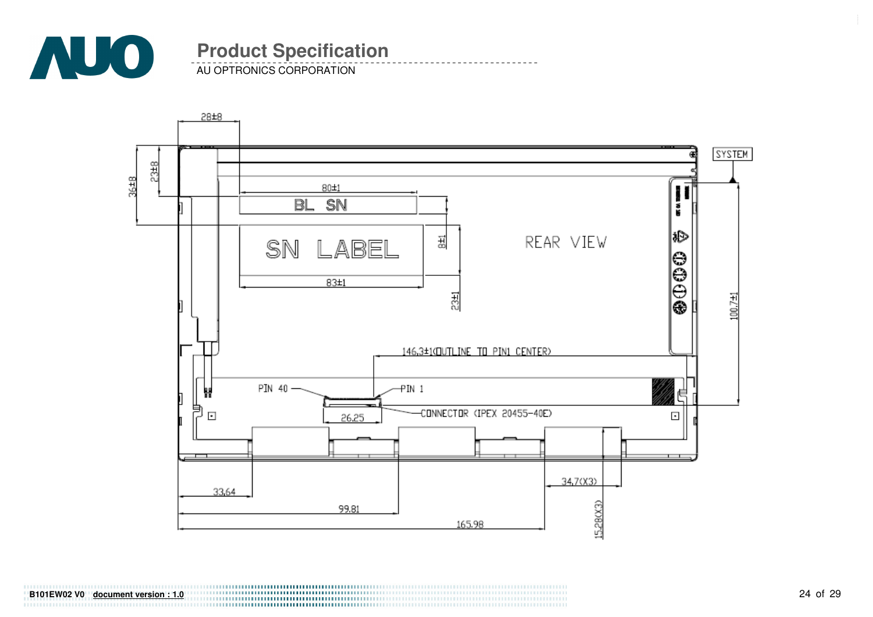

AU OPTRONICS CORPORATION

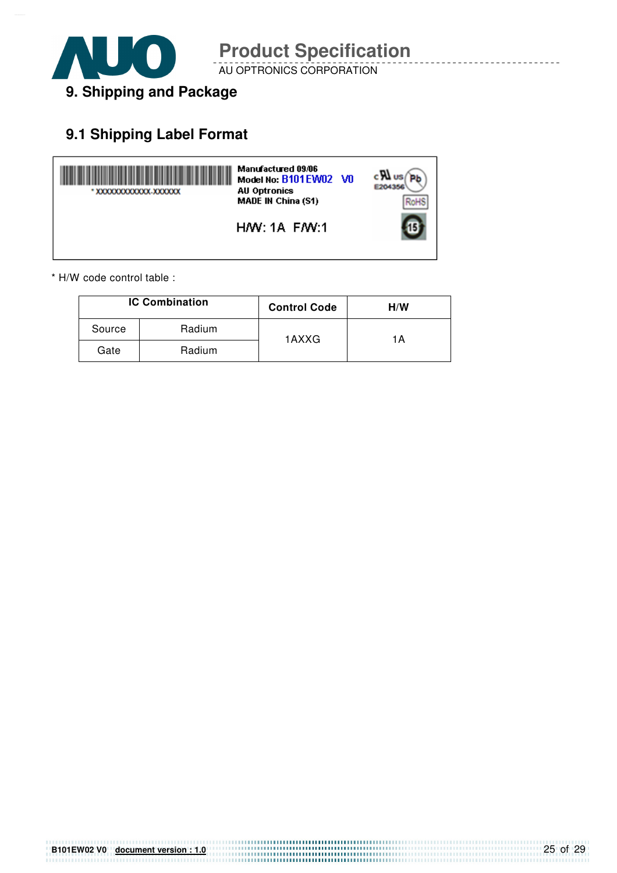

AU OPTRONICS CORPORATION

### **9.1 Shipping Label Format**



\* H/W code control table :

|        | <b>IC Combination</b> | <b>Control Code</b> | H/W |
|--------|-----------------------|---------------------|-----|
| Source | Radium                | 1AXXG               | 1Α  |
| Gate   | Radium                |                     |     |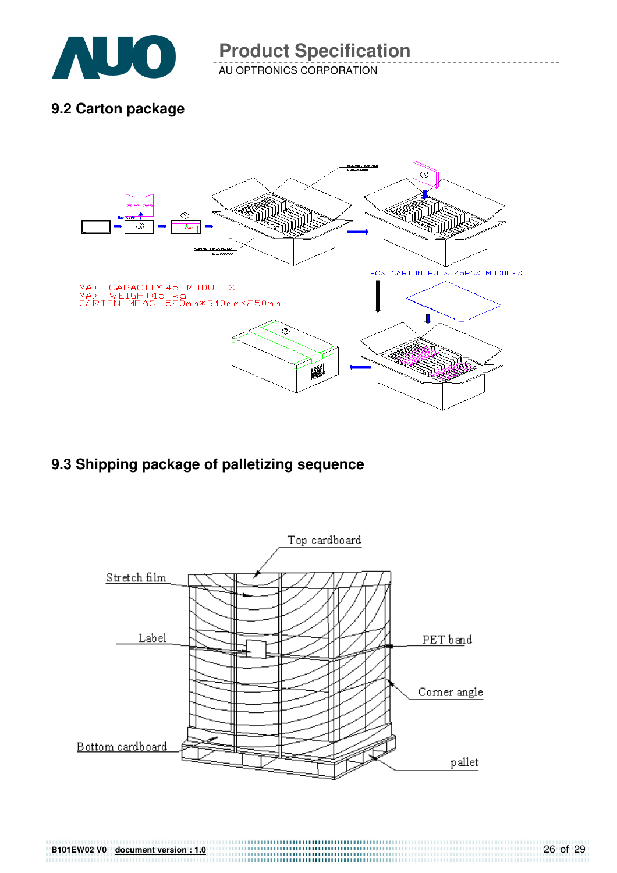

AU OPTRONICS CORPORATION

### **9.2 Carton package**



### **9.3 Shipping package of palletizing sequence**

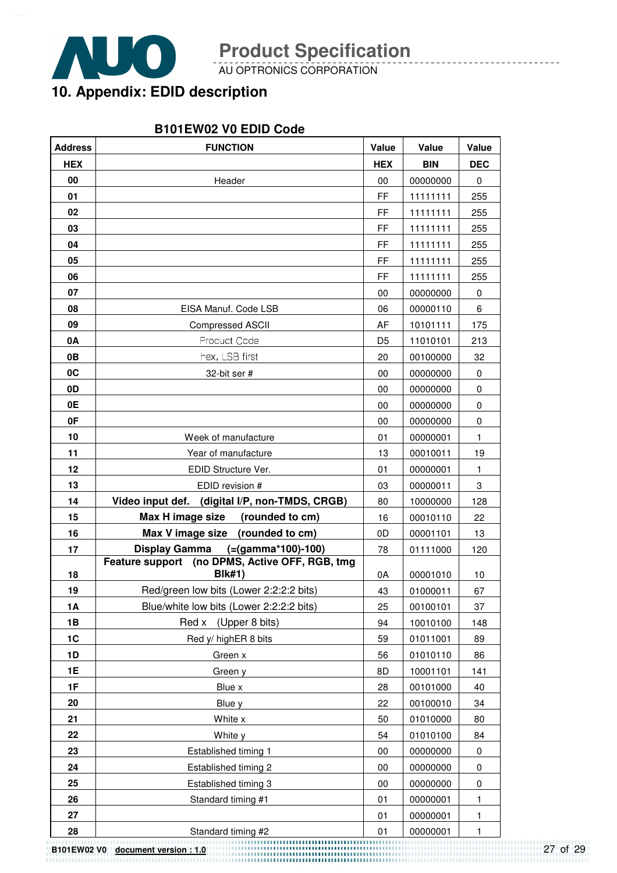

**B101EW02 V0 document version : 1.0**

**Product Specification** 

AU OPTRONICS CORPORATION

## **10. Appendix: EDID description**

#### **B101EW02 V0 EDID Code**

| <b>Address</b> | <b>FUNCTION</b>                                                 | Value          | Value      | Value        |
|----------------|-----------------------------------------------------------------|----------------|------------|--------------|
| <b>HEX</b>     |                                                                 | <b>HEX</b>     | <b>BIN</b> | <b>DEC</b>   |
| 00             | Header                                                          | 00             | 00000000   | $\mathbf 0$  |
| 01             |                                                                 | FF             | 11111111   | 255          |
| 02             |                                                                 | FF             | 11111111   | 255          |
| 03             |                                                                 | FF             | 11111111   | 255          |
| 04             |                                                                 | FF             | 11111111   | 255          |
| 05             |                                                                 | FF             | 11111111   | 255          |
| 06             |                                                                 | FF             | 11111111   | 255          |
| 07             |                                                                 | 00             | 00000000   | $\pmb{0}$    |
| 08             | EISA Manuf. Code LSB                                            | 06             | 00000110   | 6            |
| 09             | <b>Compressed ASCII</b>                                         | AF             | 10101111   | 175          |
| 0A             | <b>Product Code</b>                                             | D <sub>5</sub> | 11010101   | 213          |
| 0B             | hex, LSB first                                                  | 20             | 00100000   | 32           |
| 0C             | 32-bit ser #                                                    | 00             | 00000000   | $\mathbf 0$  |
| 0D             |                                                                 | 00             | 00000000   | $\pmb{0}$    |
| 0E             |                                                                 | 00             | 00000000   | 0            |
| 0F             |                                                                 | 00             | 00000000   | 0            |
| 10             | Week of manufacture                                             | 01             | 00000001   | $\mathbf{1}$ |
| 11             | Year of manufacture                                             | 13             | 00010011   | 19           |
| 12             | EDID Structure Ver.                                             | 01             | 00000001   | $\mathbf{1}$ |
| 13             | EDID revision #                                                 | 03             | 00000011   | 3            |
| 14             | Video input def.<br>(digital I/P, non-TMDS, CRGB)               | 80             | 10000000   | 128          |
| 15             | Max H image size<br>(rounded to cm)                             | 16             | 00010110   | 22           |
| 16             | Max V image size<br>(rounded to cm)                             | 0D             | 00001101   | 13           |
| 17             | $(=(gamma*100)-100)$<br><b>Display Gamma</b>                    | 78             | 01111000   | 120          |
| 18             | Feature support (no DPMS, Active OFF, RGB, tmg<br><b>Blk#1)</b> | 0A             | 00001010   | 10           |
| 19             | Red/green low bits (Lower 2:2:2:2 bits)                         | 43             | 01000011   | 67           |
| 1A             | Blue/white low bits (Lower 2:2:2:2 bits)                        | 25             | 00100101   | 37           |
| 1B             | Red x (Upper 8 bits)                                            | 94             | 10010100   | 148          |
| 1 <sup>C</sup> | Red y/ highER 8 bits                                            | 59             | 01011001   | 89           |
| 1D             | Green x                                                         | 56             | 01010110   | 86           |
| 1E             | Green y                                                         | 8D             | 10001101   | 141          |
| 1F             | Blue x                                                          | 28             | 00101000   | 40           |
| 20             | Blue y                                                          | 22             | 00100010   | 34           |
| 21             | White x                                                         | 50             | 01010000   | 80           |
| 22             | White y                                                         | 54             | 01010100   | 84           |
| 23             | Established timing 1                                            | 00             | 00000000   | $\pmb{0}$    |
| 24             | Established timing 2                                            | $00\,$         | 00000000   | 0            |
| 25             | Established timing 3                                            | 00             | 00000000   | 0            |
| 26             | Standard timing #1                                              | 01             | 00000001   | 1            |
| 27             |                                                                 | 01             | 00000001   | 1            |
| 28             | Standard timing #2                                              | 01             | 00000001   | $\mathbf{1}$ |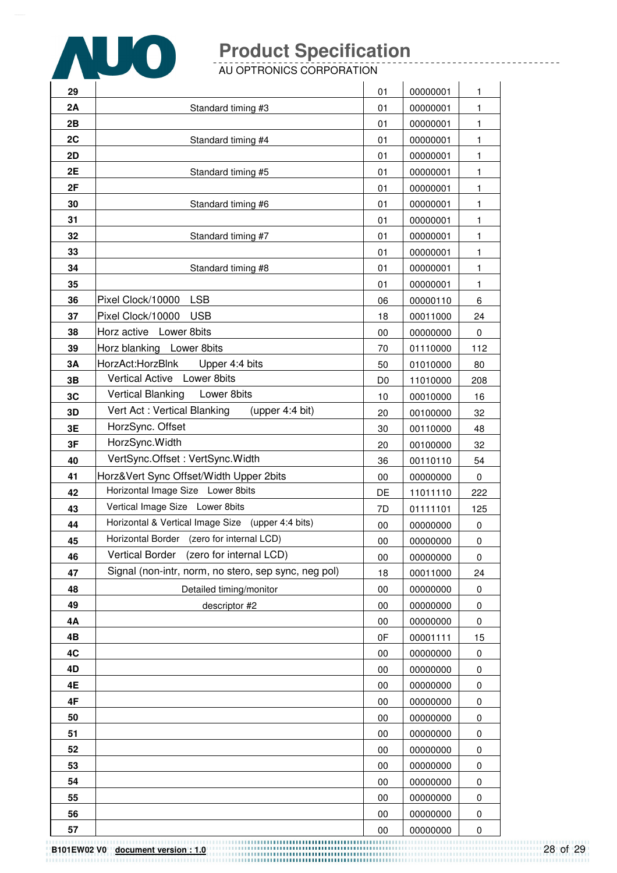

AU OPTRONICS CORPORATION

| 29        |                                                      | 01             | 00000001 | 1            |
|-----------|------------------------------------------------------|----------------|----------|--------------|
| 2A        | Standard timing #3                                   | 01             | 00000001 | 1            |
| 2B        |                                                      | 01             | 00000001 | 1            |
| 2C        | Standard timing #4                                   | 01             | 00000001 | 1            |
| 2D        |                                                      | 01             | 00000001 | 1            |
| 2E        | Standard timing #5                                   | 01             | 00000001 | 1            |
| 2F        |                                                      | 01             | 00000001 | 1            |
| 30        | Standard timing #6                                   | 01             | 00000001 | $\mathbf{1}$ |
| 31        |                                                      | 01             | 00000001 | 1            |
| 32        | Standard timing #7                                   | 01             | 00000001 | 1            |
| 33        |                                                      | 01             | 00000001 | 1            |
| 34        | Standard timing #8                                   | 01             | 00000001 | 1            |
| 35        |                                                      | 01             | 00000001 | 1            |
| 36        | <b>LSB</b><br>Pixel Clock/10000                      | 06             | 00000110 | 6            |
| 37        | Pixel Clock/10000<br><b>USB</b>                      | 18             | 00011000 | 24           |
| 38        | Horz active Lower 8bits                              | $00\,$         | 00000000 | 0            |
| 39        | Horz blanking Lower 8bits                            | 70             | 01110000 | 112          |
| 3A        | HorzAct:HorzBlnk<br>Upper 4:4 bits                   | 50             | 01010000 | 80           |
| 3B        | Vertical Active Lower 8bits                          | D <sub>0</sub> | 11010000 | 208          |
| 3C        | <b>Vertical Blanking</b><br>Lower 8bits              | 10             | 00010000 | 16           |
| 3D        | Vert Act: Vertical Blanking<br>(upper 4:4 bit)       | 20             | 00100000 | 32           |
| 3E        | HorzSync. Offset                                     | 30             | 00110000 | 48           |
| 3F        | HorzSync.Width                                       | 20             | 00100000 | 32           |
| 40        | VertSync.Offset: VertSync.Width                      | 36             | 00110110 | 54           |
| 41        | Horz‖ Sync Offset/Width Upper 2bits                  | $00\,$         | 00000000 | 0            |
| 42        | Horizontal Image Size Lower 8bits                    | DE             | 11011110 | 222          |
| 43        | Vertical Image Size Lower 8bits                      | 7D             | 01111101 | 125          |
| 44        | Horizontal & Vertical Image Size (upper 4:4 bits)    | $00\,$         | 00000000 | 0            |
| 45        | Horizontal Border (zero for internal LCD)            | $00\,$         | 00000000 | $\pmb{0}$    |
| 46        | <b>Vertical Border</b><br>(zero for internal LCD)    | $00\,$         | 00000000 | 0            |
| 47        | Signal (non-intr, norm, no stero, sep sync, neg pol) | 18             | 00011000 | 24           |
| 48        | Detailed timing/monitor                              | $00\,$         | 00000000 | 0            |
| 49        | descriptor #2                                        | 00             | 00000000 | 0            |
| <b>4A</b> |                                                      | $00\,$         | 00000000 | 0            |
| 4B        |                                                      | 0F             | 00001111 | 15           |
| 4C        |                                                      | 00             | 00000000 | 0            |
| 4D        |                                                      | 00             | 00000000 | 0            |
| 4E        |                                                      | 00             | 00000000 | 0            |
| 4F        |                                                      | 00             | 00000000 | 0            |
| 50        |                                                      | $00\,$         | 00000000 | 0            |
| 51        |                                                      | 00             | 00000000 | 0            |
| 52        |                                                      | 00             | 00000000 | 0            |
| 53        |                                                      | $00\,$         | 00000000 | 0            |
| 54        |                                                      | 00             | 00000000 | 0            |
| 55        |                                                      | 00             | 00000000 | 0            |
| 56        |                                                      | $00\,$         | 00000000 | 0            |
| 57        |                                                      | $00\,$         | 00000000 | 0            |